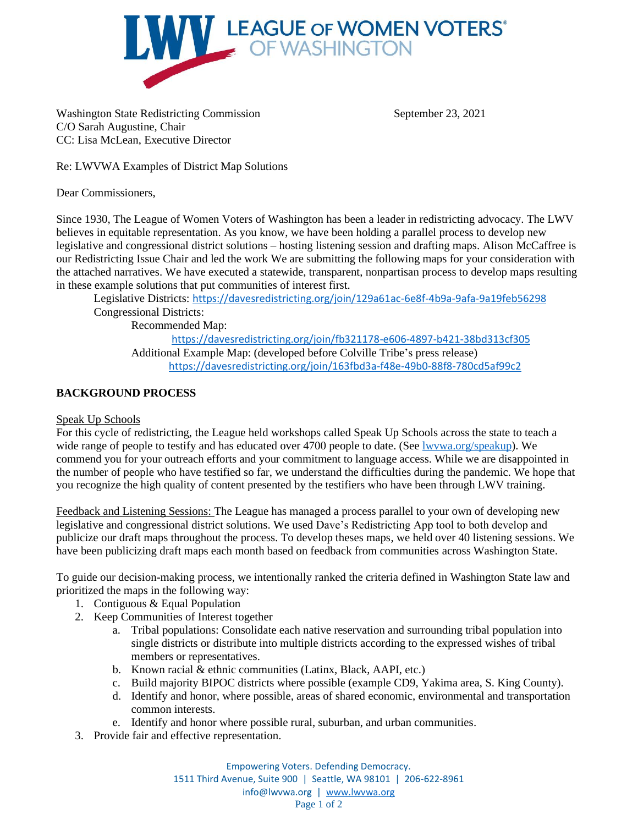

Washington State Redistricting Commission September 23, 2021 C/O Sarah Augustine, Chair CC: Lisa McLean, Executive Director

Re: LWVWA Examples of District Map Solutions

Dear Commissioners,

Since 1930, The League of Women Voters of Washington has been a leader in redistricting advocacy. The LWV believes in equitable representation. As you know, we have been holding a parallel process to develop new legislative and congressional district solutions – hosting listening session and drafting maps. Alison McCaffree is our Redistricting Issue Chair and led the work We are submitting the following maps for your consideration with the attached narratives. We have executed a statewide, transparent, nonpartisan process to develop maps resulting in these example solutions that put communities of interest first.

Legislative Districts: <https://davesredistricting.org/join/129a61ac-6e8f-4b9a-9afa-9a19feb56298> Congressional Districts:

Recommended Map:

<https://davesredistricting.org/join/fb321178-e606-4897-b421-38bd313cf305> Additional Example Map: (developed before Colville Tribe's press release) <https://davesredistricting.org/join/163fbd3a-f48e-49b0-88f8-780cd5af99c2>

## **BACKGROUND PROCESS**

## Speak Up Schools

For this cycle of redistricting, the League held workshops called Speak Up Schools across the state to teach a wide range of people to testify and has educated over 4700 people to date. (See lwywa.org/speakup). We commend you for your outreach efforts and your commitment to language access. While we are disappointed in the number of people who have testified so far, we understand the difficulties during the pandemic. We hope that you recognize the high quality of content presented by the testifiers who have been through LWV training.

Feedback and Listening Sessions: The League has managed a process parallel to your own of developing new legislative and congressional district solutions. We used Dave's Redistricting App tool to both develop and publicize our draft maps throughout the process. To develop theses maps, we held over 40 listening sessions. We have been publicizing draft maps each month based on feedback from communities across Washington State.

To guide our decision-making process, we intentionally ranked the criteria defined in Washington State law and prioritized the maps in the following way:

- 1. Contiguous & Equal Population
- 2. Keep Communities of Interest together
	- a. Tribal populations: Consolidate each native reservation and surrounding tribal population into single districts or distribute into multiple districts according to the expressed wishes of tribal members or representatives.
	- b. Known racial & ethnic communities (Latinx, Black, AAPI, etc.)
	- c. Build majority BIPOC districts where possible (example CD9, Yakima area, S. King County).
	- d. Identify and honor, where possible, areas of shared economic, environmental and transportation common interests.
	- e. Identify and honor where possible rural, suburban, and urban communities.
- 3. Provide fair and effective representation.

Empowering Voters. Defending Democracy. 1511 Third Avenue, Suite 900 | Seattle, WA 98101 | 206-622-8961 info@lwvwa.org | [www.lwvwa.org](http://www.lwvwa.org/) Page 1 of 2